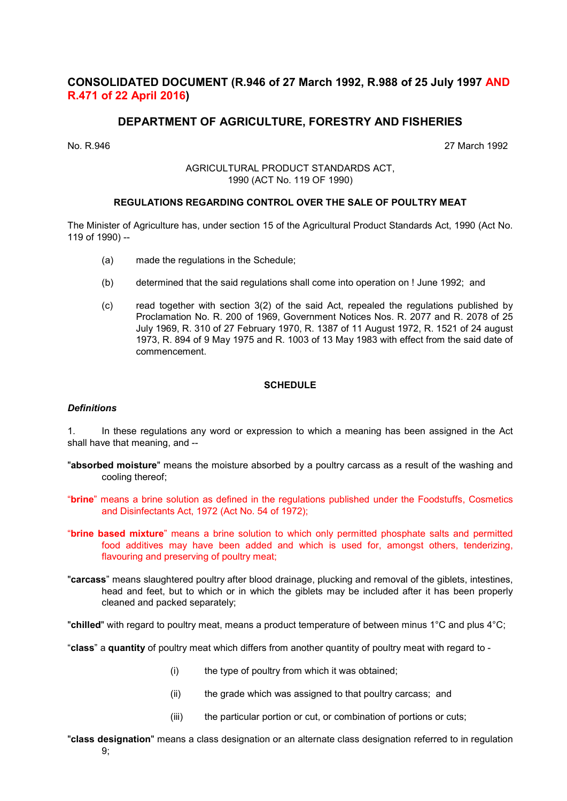## CONSOLIDATED DOCUMENT (R.946 of 27 March 1992, R.988 of 25 July 1997 AND R.471 of 22 April 2016)

## DEPARTMENT OF AGRICULTURE, FORESTRY AND FISHERIES

No. R.946 27 March 1992

AGRICULTURAL PRODUCT STANDARDS ACT, 1990 (ACT No. 119 OF 1990)

## REGULATIONS REGARDING CONTROL OVER THE SALE OF POULTRY MEAT

The Minister of Agriculture has, under section 15 of the Agricultural Product Standards Act, 1990 (Act No. 119 of 1990) --

- (a) made the regulations in the Schedule;
- (b) determined that the said regulations shall come into operation on ! June 1992; and
- (c) read together with section 3(2) of the said Act, repealed the regulations published by Proclamation No. R. 200 of 1969, Government Notices Nos. R. 2077 and R. 2078 of 25 July 1969, R. 310 of 27 February 1970, R. 1387 of 11 August 1972, R. 1521 of 24 august 1973, R. 894 of 9 May 1975 and R. 1003 of 13 May 1983 with effect from the said date of commencement.

## **SCHEDULE**

#### **Definitions**

1. In these regulations any word or expression to which a meaning has been assigned in the Act shall have that meaning, and --

- "absorbed moisture" means the moisture absorbed by a poultry carcass as a result of the washing and cooling thereof;
- "brine" means a brine solution as defined in the regulations published under the Foodstuffs, Cosmetics and Disinfectants Act, 1972 (Act No. 54 of 1972);
- "brine based mixture" means a brine solution to which only permitted phosphate salts and permitted food additives may have been added and which is used for, amongst others, tenderizing, flavouring and preserving of poultry meat;
- "carcass" means slaughtered poultry after blood drainage, plucking and removal of the giblets, intestines, head and feet, but to which or in which the giblets may be included after it has been properly cleaned and packed separately;

"chilled" with regard to poultry meat, means a product temperature of between minus 1°C and plus 4°C;

"class" a quantity of poultry meat which differs from another quantity of poultry meat with regard to -

- (i) the type of poultry from which it was obtained;
- (ii) the grade which was assigned to that poultry carcass; and
- (iii) the particular portion or cut, or combination of portions or cuts;

"class designation" means a class designation or an alternate class designation referred to in regulation  $9<sub>1</sub>$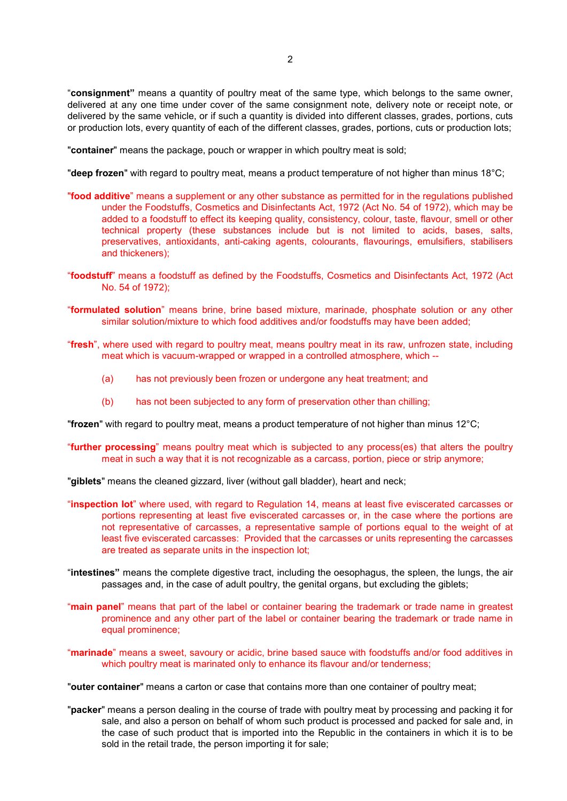"consignment" means a quantity of poultry meat of the same type, which belongs to the same owner, delivered at any one time under cover of the same consignment note, delivery note or receipt note, or delivered by the same vehicle, or if such a quantity is divided into different classes, grades, portions, cuts or production lots, every quantity of each of the different classes, grades, portions, cuts or production lots;

"container" means the package, pouch or wrapper in which poultry meat is sold;

"deep frozen" with regard to poultry meat, means a product temperature of not higher than minus 18°C;

- "food additive" means a supplement or any other substance as permitted for in the regulations published under the Foodstuffs, Cosmetics and Disinfectants Act, 1972 (Act No. 54 of 1972), which may be added to a foodstuff to effect its keeping quality, consistency, colour, taste, flavour, smell or other technical property (these substances include but is not limited to acids, bases, salts, preservatives, antioxidants, anti-caking agents, colourants, flavourings, emulsifiers, stabilisers and thickeners);
- "foodstuff" means a foodstuff as defined by the Foodstuffs, Cosmetics and Disinfectants Act, 1972 (Act No. 54 of 1972);
- "formulated solution" means brine, brine based mixture, marinade, phosphate solution or any other similar solution/mixture to which food additives and/or foodstuffs may have been added;
- "fresh", where used with regard to poultry meat, means poultry meat in its raw, unfrozen state, including meat which is vacuum-wrapped or wrapped in a controlled atmosphere, which --
	- (a) has not previously been frozen or undergone any heat treatment; and
	- (b) has not been subjected to any form of preservation other than chilling;

"frozen" with regard to poultry meat, means a product temperature of not higher than minus 12°C;

"**further processing**" means poultry meat which is subjected to any process(es) that alters the poultry meat in such a way that it is not recognizable as a carcass, portion, piece or strip anymore;

"giblets" means the cleaned gizzard, liver (without gall bladder), heart and neck;

- "inspection lot" where used, with regard to Regulation 14, means at least five eviscerated carcasses or portions representing at least five eviscerated carcasses or, in the case where the portions are not representative of carcasses, a representative sample of portions equal to the weight of at least five eviscerated carcasses: Provided that the carcasses or units representing the carcasses are treated as separate units in the inspection lot;
- "intestines" means the complete digestive tract, including the oesophagus, the spleen, the lungs, the air passages and, in the case of adult poultry, the genital organs, but excluding the giblets;
- "main panel" means that part of the label or container bearing the trademark or trade name in greatest prominence and any other part of the label or container bearing the trademark or trade name in equal prominence;
- "marinade" means a sweet, savoury or acidic, brine based sauce with foodstuffs and/or food additives in which poultry meat is marinated only to enhance its flavour and/or tenderness;

"outer container" means a carton or case that contains more than one container of poultry meat;

"packer" means a person dealing in the course of trade with poultry meat by processing and packing it for sale, and also a person on behalf of whom such product is processed and packed for sale and, in the case of such product that is imported into the Republic in the containers in which it is to be sold in the retail trade, the person importing it for sale;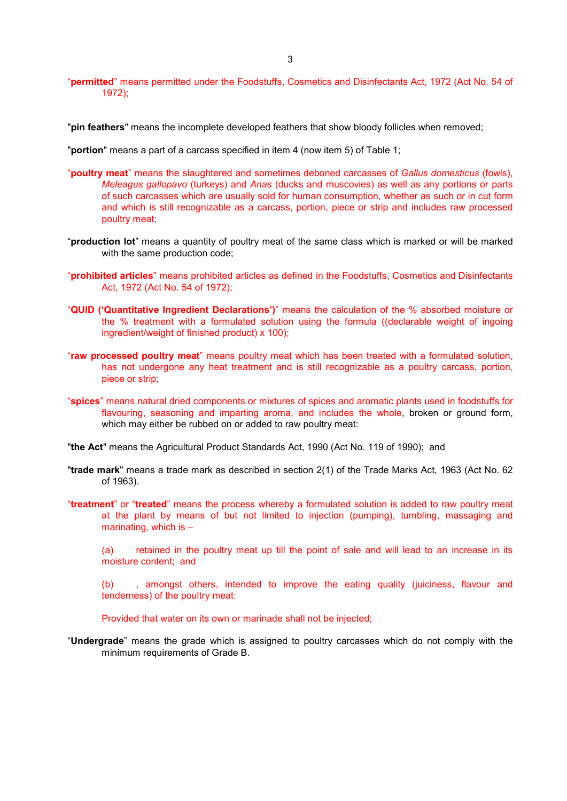"**pin feathers**" means the incomplete developed feathers that show bloody follicles when removed;

"portion" means a part of a carcass specified in item 4 (now item 5) of Table 1;

- "**poultry meat**" means the slaughtered and sometimes deboned carcasses of Gallus domesticus (fowls), Meleagus gallopavo (turkeys) and Anas (ducks and muscovies) as well as any portions or parts of such carcasses which are usually sold for human consumption, whether as such or in cut form and which is still recognizable as a carcass, portion, piece or strip and includes raw processed poultry meat;
- "production lot" means a quantity of poultry meat of the same class which is marked or will be marked with the same production code;
- "prohibited articles" means prohibited articles as defined in the Foodstuffs, Cosmetics and Disinfectants Act, 1972 (Act No. 54 of 1972);
- "QUID ('Quantitative Ingredient Declarations')" means the calculation of the % absorbed moisture or the % treatment with a formulated solution using the formula ((declarable weight of ingoing ingredient/weight of finished product) x 100);
- "raw processed poultry meat" means poultry meat which has been treated with a formulated solution, has not undergone any heat treatment and is still recognizable as a poultry carcass, portion, piece or strip;
- "spices" means natural dried components or mixtures of spices and aromatic plants used in foodstuffs for flavouring, seasoning and imparting aroma, and includes the whole, broken or ground form, which may either be rubbed on or added to raw poultry meat:
- "the Act" means the Agricultural Product Standards Act, 1990 (Act No. 119 of 1990); and
- "trade mark" means a trade mark as described in section 2(1) of the Trade Marks Act, 1963 (Act No. 62 of 1963).
- "treatment" or "treated" means the process whereby a formulated solution is added to raw poultry meat at the plant by means of but not limited to injection (pumping), tumbling, massaging and marinating, which is  $-$

(a) retained in the poultry meat up till the point of sale and will lead to an increase in its moisture content; and

(b) , amongst others, intended to improve the eating quality (juiciness, flavour and tenderness) of the poultry meat:

Provided that water on its own or marinade shall not be injected;

"Undergrade" means the grade which is assigned to poultry carcasses which do not comply with the minimum requirements of Grade B.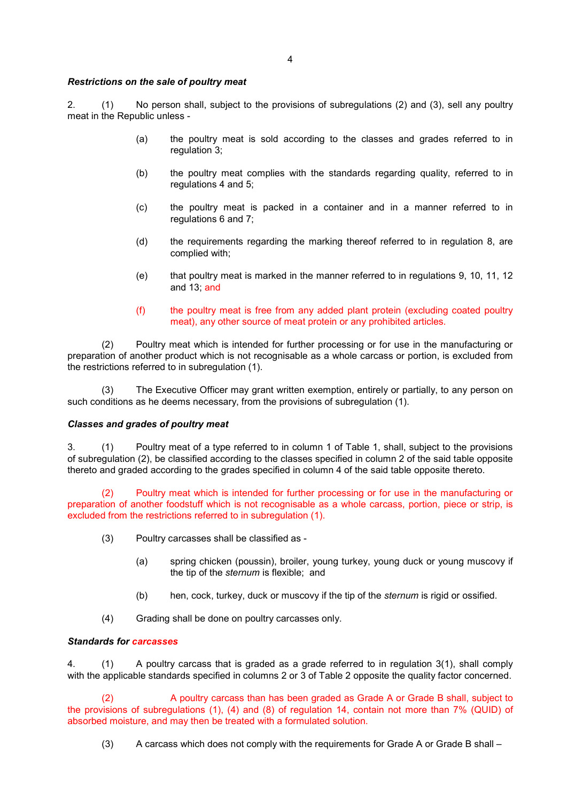## Restrictions on the sale of poultry meat

2. (1) No person shall, subject to the provisions of subregulations (2) and (3), sell any poultry meat in the Republic unless -

- (a) the poultry meat is sold according to the classes and grades referred to in regulation 3:
- (b) the poultry meat complies with the standards regarding quality, referred to in regulations 4 and 5;
- (c) the poultry meat is packed in a container and in a manner referred to in regulations 6 and 7;
- (d) the requirements regarding the marking thereof referred to in regulation 8, are complied with;
- (e) that poultry meat is marked in the manner referred to in regulations 9, 10, 11, 12 and 13; and
- (f) the poultry meat is free from any added plant protein (excluding coated poultry meat), any other source of meat protein or any prohibited articles.

 (2) Poultry meat which is intended for further processing or for use in the manufacturing or preparation of another product which is not recognisable as a whole carcass or portion, is excluded from the restrictions referred to in subregulation (1).

 (3) The Executive Officer may grant written exemption, entirely or partially, to any person on such conditions as he deems necessary, from the provisions of subregulation (1).

## Classes and grades of poultry meat

3. (1) Poultry meat of a type referred to in column 1 of Table 1, shall, subject to the provisions of subregulation (2), be classified according to the classes specified in column 2 of the said table opposite thereto and graded according to the grades specified in column 4 of the said table opposite thereto.

(2) Poultry meat which is intended for further processing or for use in the manufacturing or preparation of another foodstuff which is not recognisable as a whole carcass, portion, piece or strip, is excluded from the restrictions referred to in subregulation (1).

- (3) Poultry carcasses shall be classified as
	- (a) spring chicken (poussin), broiler, young turkey, young duck or young muscovy if the tip of the sternum is flexible; and
	- (b) hen, cock, turkey, duck or muscovy if the tip of the *sternum* is rigid or ossified.
- (4) Grading shall be done on poultry carcasses only.

## Standards for carcasses

4. (1) A poultry carcass that is graded as a grade referred to in regulation 3(1), shall comply with the applicable standards specified in columns 2 or 3 of Table 2 opposite the quality factor concerned.

A poultry carcass than has been graded as Grade A or Grade B shall, subject to the provisions of subregulations (1), (4) and (8) of regulation 14, contain not more than 7% (QUID) of absorbed moisture, and may then be treated with a formulated solution.

(3) A carcass which does not comply with the requirements for Grade A or Grade B shall –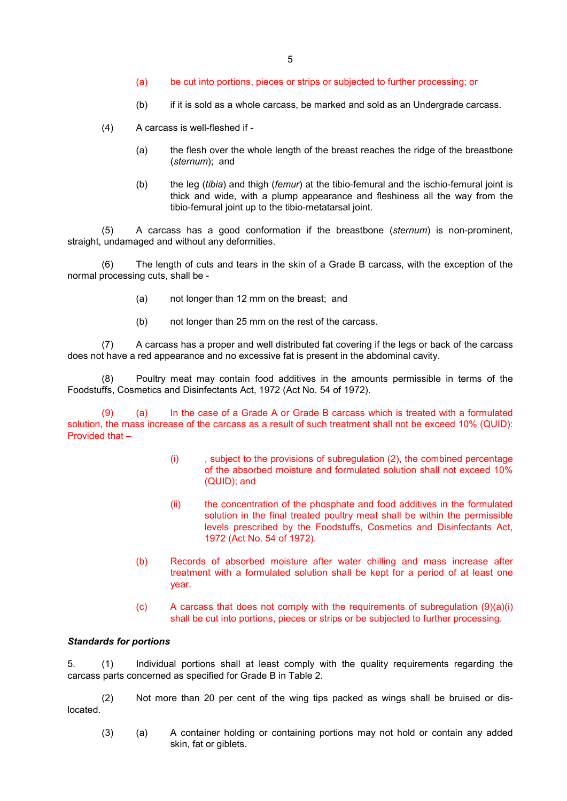- (a) be cut into portions, pieces or strips or subjected to further processing; or
- (b) if it is sold as a whole carcass, be marked and sold as an Undergrade carcass.
- (4) A carcass is well-fleshed if
	- (a) the flesh over the whole length of the breast reaches the ridge of the breastbone (sternum); and
	- (b) the leg (tibia) and thigh (femur) at the tibio-femural and the ischio-femural joint is thick and wide, with a plump appearance and fleshiness all the way from the tibio-femural joint up to the tibio-metatarsal joint.

 (5) A carcass has a good conformation if the breastbone (sternum) is non-prominent, straight, undamaged and without any deformities.

 (6) The length of cuts and tears in the skin of a Grade B carcass, with the exception of the normal processing cuts, shall be -

- (a) not longer than 12 mm on the breast; and
- (b) not longer than 25 mm on the rest of the carcass.

 (7) A carcass has a proper and well distributed fat covering if the legs or back of the carcass does not have a red appearance and no excessive fat is present in the abdominal cavity.

 (8) Poultry meat may contain food additives in the amounts permissible in terms of the Foodstuffs, Cosmetics and Disinfectants Act, 1972 (Act No. 54 of 1972).

(9) (a) In the case of a Grade A or Grade B carcass which is treated with a formulated solution, the mass increase of the carcass as a result of such treatment shall not be exceed 10% (QUID): Provided that –

- (i)  $\qquad$ , subject to the provisions of subregulation (2), the combined percentage of the absorbed moisture and formulated solution shall not exceed 10% (QUID); and
- (ii) the concentration of the phosphate and food additives in the formulated solution in the final treated poultry meat shall be within the permissible levels prescribed by the Foodstuffs, Cosmetics and Disinfectants Act, 1972 (Act No. 54 of 1972).
- (b) Records of absorbed moisture after water chilling and mass increase after treatment with a formulated solution shall be kept for a period of at least one year.
- (c) A carcass that does not comply with the requirements of subregulation  $(9)(a)(i)$ shall be cut into portions, pieces or strips or be subjected to further processing.

## Standards for portions

5. (1) Individual portions shall at least comply with the quality requirements regarding the carcass parts concerned as specified for Grade B in Table 2.

 (2) Not more than 20 per cent of the wing tips packed as wings shall be bruised or dislocated.

(3) (a) A container holding or containing portions may not hold or contain any added skin, fat or giblets.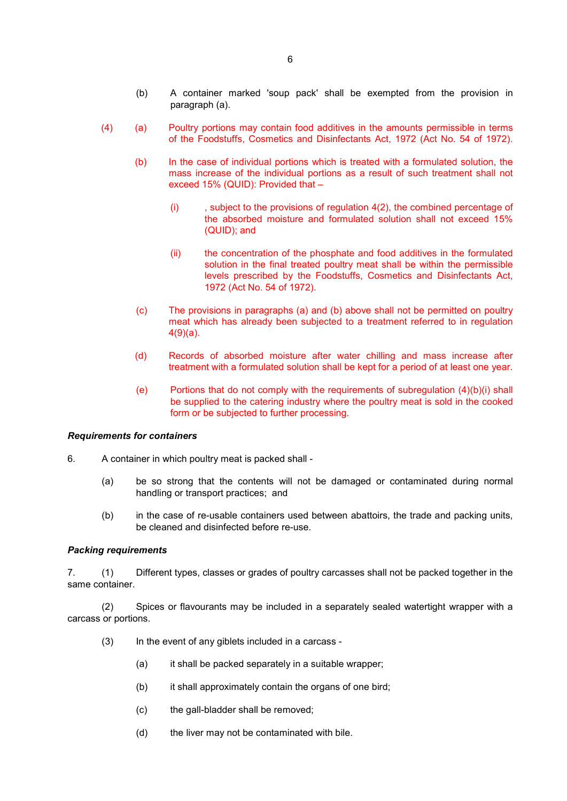- (4) (a) Poultry portions may contain food additives in the amounts permissible in terms of the Foodstuffs, Cosmetics and Disinfectants Act, 1972 (Act No. 54 of 1972).
	- (b) In the case of individual portions which is treated with a formulated solution, the mass increase of the individual portions as a result of such treatment shall not exceed 15% (QUID): Provided that –
		- $(i)$ , subject to the provisions of regulation  $4(2)$ , the combined percentage of the absorbed moisture and formulated solution shall not exceed 15% (QUID); and
		- (ii) the concentration of the phosphate and food additives in the formulated solution in the final treated poultry meat shall be within the permissible levels prescribed by the Foodstuffs, Cosmetics and Disinfectants Act, 1972 (Act No. 54 of 1972).
	- (c) The provisions in paragraphs (a) and (b) above shall not be permitted on poultry meat which has already been subjected to a treatment referred to in regulation 4(9)(a).
	- (d) Records of absorbed moisture after water chilling and mass increase after treatment with a formulated solution shall be kept for a period of at least one year.
	- (e) Portions that do not comply with the requirements of subregulation (4)(b)(i) shall be supplied to the catering industry where the poultry meat is sold in the cooked form or be subjected to further processing.

## Requirements for containers

- 6. A container in which poultry meat is packed shall
	- (a) be so strong that the contents will not be damaged or contaminated during normal handling or transport practices; and
	- (b) in the case of re-usable containers used between abattoirs, the trade and packing units, be cleaned and disinfected before re-use.

## Packing requirements

7. (1) Different types, classes or grades of poultry carcasses shall not be packed together in the same container.

 (2) Spices or flavourants may be included in a separately sealed watertight wrapper with a carcass or portions.

- (3) In the event of any giblets included in a carcass
	- (a) it shall be packed separately in a suitable wrapper;
	- (b) it shall approximately contain the organs of one bird;
	- (c) the gall-bladder shall be removed;
	- (d) the liver may not be contaminated with bile.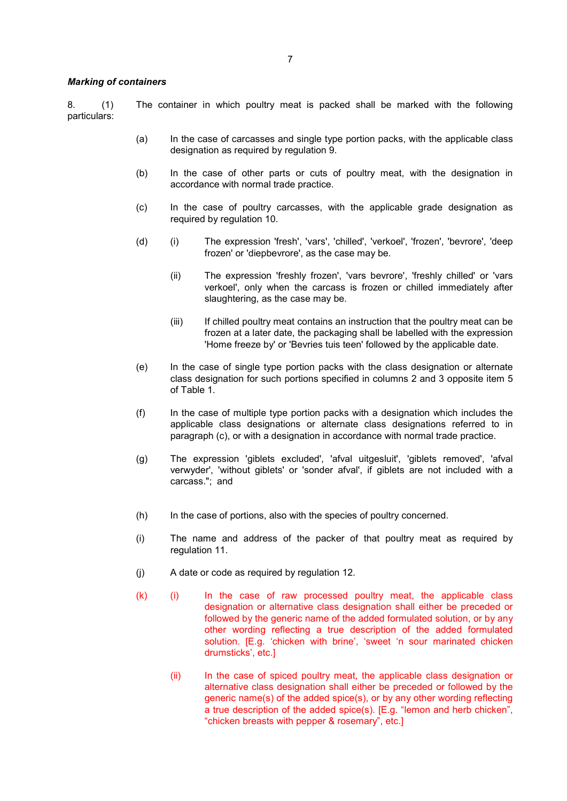#### Marking of containers

8. (1) The container in which poultry meat is packed shall be marked with the following particulars:

- (a) In the case of carcasses and single type portion packs, with the applicable class designation as required by regulation 9.
- (b) In the case of other parts or cuts of poultry meat, with the designation in accordance with normal trade practice.
- (c) In the case of poultry carcasses, with the applicable grade designation as required by regulation 10.
- (d) (i) The expression 'fresh', 'vars', 'chilled', 'verkoel', 'frozen', 'bevrore', 'deep frozen' or 'diepbevrore', as the case may be.
	- (ii) The expression 'freshly frozen', 'vars bevrore', 'freshly chilled' or 'vars verkoel', only when the carcass is frozen or chilled immediately after slaughtering, as the case may be.
	- (iii) If chilled poultry meat contains an instruction that the poultry meat can be frozen at a later date, the packaging shall be labelled with the expression 'Home freeze by' or 'Bevries tuis teen' followed by the applicable date.
- (e) In the case of single type portion packs with the class designation or alternate class designation for such portions specified in columns 2 and 3 opposite item 5 of Table 1.
- (f) In the case of multiple type portion packs with a designation which includes the applicable class designations or alternate class designations referred to in paragraph (c), or with a designation in accordance with normal trade practice.
- (g) The expression 'giblets excluded', 'afval uitgesluit', 'giblets removed', 'afval verwyder', 'without giblets' or 'sonder afval', if giblets are not included with a carcass."; and
- (h) In the case of portions, also with the species of poultry concerned.
- (i) The name and address of the packer of that poultry meat as required by regulation 11.
- (j) A date or code as required by regulation 12.
- (k) (i) In the case of raw processed poultry meat, the applicable class designation or alternative class designation shall either be preceded or followed by the generic name of the added formulated solution, or by any other wording reflecting a true description of the added formulated solution. [E.g. 'chicken with brine', 'sweet 'n sour marinated chicken drumsticks', etc.]
	- (ii) In the case of spiced poultry meat, the applicable class designation or alternative class designation shall either be preceded or followed by the generic name(s) of the added spice(s), or by any other wording reflecting a true description of the added spice(s). [E.g. "lemon and herb chicken", "chicken breasts with pepper & rosemary", etc.]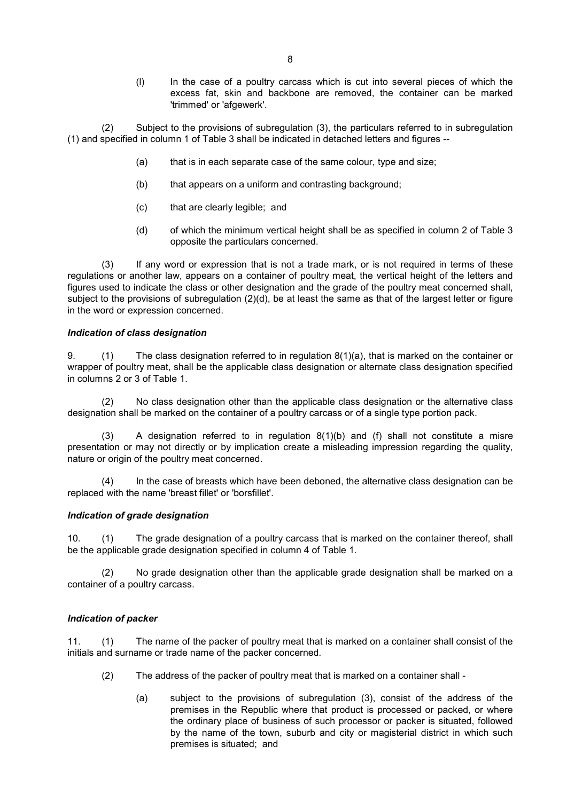(l) In the case of a poultry carcass which is cut into several pieces of which the excess fat, skin and backbone are removed, the container can be marked 'trimmed' or 'afgewerk'.

 (2) Subject to the provisions of subregulation (3), the particulars referred to in subregulation (1) and specified in column 1 of Table 3 shall be indicated in detached letters and figures --

- (a) that is in each separate case of the same colour, type and size;
- (b) that appears on a uniform and contrasting background;
- (c) that are clearly legible; and
- (d) of which the minimum vertical height shall be as specified in column 2 of Table 3 opposite the particulars concerned.

 (3) If any word or expression that is not a trade mark, or is not required in terms of these regulations or another law, appears on a container of poultry meat, the vertical height of the letters and figures used to indicate the class or other designation and the grade of the poultry meat concerned shall, subject to the provisions of subregulation (2)(d), be at least the same as that of the largest letter or figure in the word or expression concerned.

## Indication of class designation

9. (1) The class designation referred to in regulation 8(1)(a), that is marked on the container or wrapper of poultry meat, shall be the applicable class designation or alternate class designation specified in columns 2 or 3 of Table 1.

(2) No class designation other than the applicable class designation or the alternative class designation shall be marked on the container of a poultry carcass or of a single type portion pack.

(3) A designation referred to in regulation 8(1)(b) and (f) shall not constitute a misre presentation or may not directly or by implication create a misleading impression regarding the quality, nature or origin of the poultry meat concerned.

(4) In the case of breasts which have been deboned, the alternative class designation can be replaced with the name 'breast fillet' or 'borsfillet'.

## Indication of grade designation

10. (1) The grade designation of a poultry carcass that is marked on the container thereof, shall be the applicable grade designation specified in column 4 of Table 1.

 (2) No grade designation other than the applicable grade designation shall be marked on a container of a poultry carcass.

## Indication of packer

11. (1) The name of the packer of poultry meat that is marked on a container shall consist of the initials and surname or trade name of the packer concerned.

- (2) The address of the packer of poultry meat that is marked on a container shall
	- (a) subject to the provisions of subregulation (3), consist of the address of the premises in the Republic where that product is processed or packed, or where the ordinary place of business of such processor or packer is situated, followed by the name of the town, suburb and city or magisterial district in which such premises is situated; and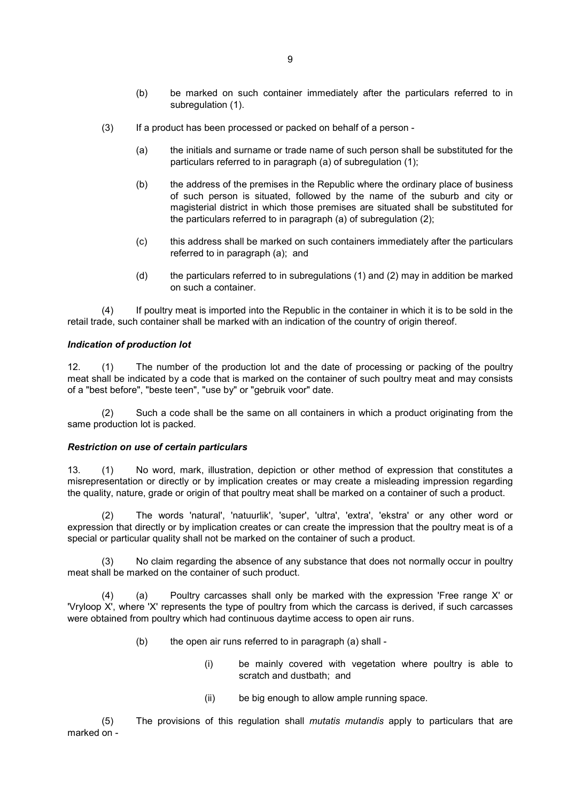- (b) be marked on such container immediately after the particulars referred to in subregulation (1).
- (3) If a product has been processed or packed on behalf of a person
	- (a) the initials and surname or trade name of such person shall be substituted for the particulars referred to in paragraph (a) of subregulation (1);
	- (b) the address of the premises in the Republic where the ordinary place of business of such person is situated, followed by the name of the suburb and city or magisterial district in which those premises are situated shall be substituted for the particulars referred to in paragraph (a) of subregulation (2);
	- (c) this address shall be marked on such containers immediately after the particulars referred to in paragraph (a); and
	- (d) the particulars referred to in subregulations (1) and (2) may in addition be marked on such a container.

 (4) If poultry meat is imported into the Republic in the container in which it is to be sold in the retail trade, such container shall be marked with an indication of the country of origin thereof.

## Indication of production lot

12. (1) The number of the production lot and the date of processing or packing of the poultry meat shall be indicated by a code that is marked on the container of such poultry meat and may consists of a "best before", "beste teen", "use by" or "gebruik voor" date.

 (2) Such a code shall be the same on all containers in which a product originating from the same production lot is packed.

## Restriction on use of certain particulars

13. (1) No word, mark, illustration, depiction or other method of expression that constitutes a misrepresentation or directly or by implication creates or may create a misleading impression regarding the quality, nature, grade or origin of that poultry meat shall be marked on a container of such a product.

(2) The words 'natural', 'natuurlik', 'super', 'ultra', 'extra', 'ekstra' or any other word or expression that directly or by implication creates or can create the impression that the poultry meat is of a special or particular quality shall not be marked on the container of such a product.

(3) No claim regarding the absence of any substance that does not normally occur in poultry meat shall be marked on the container of such product.

(4) (a) Poultry carcasses shall only be marked with the expression 'Free range X' or 'Vryloop X', where 'X' represents the type of poultry from which the carcass is derived, if such carcasses were obtained from poultry which had continuous daytime access to open air runs.

- (b) the open air runs referred to in paragraph (a) shall
	- (i) be mainly covered with vegetation where poultry is able to scratch and dustbath; and
	- (ii) be big enough to allow ample running space.

 (5) The provisions of this regulation shall mutatis mutandis apply to particulars that are marked on -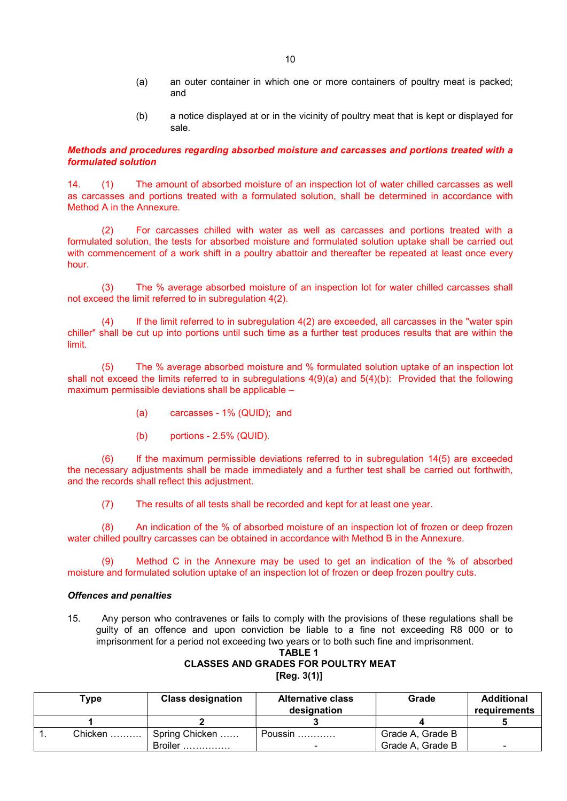- (a) an outer container in which one or more containers of poultry meat is packed; and
- (b) a notice displayed at or in the vicinity of poultry meat that is kept or displayed for sale.

## Methods and procedures regarding absorbed moisture and carcasses and portions treated with a formulated solution

14. (1) The amount of absorbed moisture of an inspection lot of water chilled carcasses as well as carcasses and portions treated with a formulated solution, shall be determined in accordance with Method A in the Annexure.

For carcasses chilled with water as well as carcasses and portions treated with a formulated solution, the tests for absorbed moisture and formulated solution uptake shall be carried out with commencement of a work shift in a poultry abattoir and thereafter be repeated at least once every hour.

(3) The % average absorbed moisture of an inspection lot for water chilled carcasses shall not exceed the limit referred to in subregulation 4(2).

(4) If the limit referred to in subregulation 4(2) are exceeded, all carcasses in the "water spin chiller" shall be cut up into portions until such time as a further test produces results that are within the limit.

(5) The % average absorbed moisture and % formulated solution uptake of an inspection lot shall not exceed the limits referred to in subregulations 4(9)(a) and 5(4)(b): Provided that the following maximum permissible deviations shall be applicable –

- (a) carcasses 1% (QUID); and
- (b) portions 2.5% (QUID).

(6) If the maximum permissible deviations referred to in subregulation 14(5) are exceeded the necessary adjustments shall be made immediately and a further test shall be carried out forthwith, and the records shall reflect this adjustment.

(7) The results of all tests shall be recorded and kept for at least one year.

(8) An indication of the % of absorbed moisture of an inspection lot of frozen or deep frozen water chilled poultry carcasses can be obtained in accordance with Method B in the Annexure.

(9) Method C in the Annexure may be used to get an indication of the % of absorbed moisture and formulated solution uptake of an inspection lot of frozen or deep frozen poultry cuts.

## Offences and penalties

15. Any person who contravenes or fails to comply with the provisions of these regulations shall be guilty of an offence and upon conviction be liable to a fine not exceeding R8 000 or to imprisonment for a period not exceeding two years or to both such fine and imprisonment.

## TABLE 1 CLASSES AND GRADES FOR POULTRY MEAT [Reg. 3(1)]

| Type    | <b>Class designation</b> | <b>Alternative class</b><br>designation | Grade            | <b>Additional</b><br>requirements |
|---------|--------------------------|-----------------------------------------|------------------|-----------------------------------|
|         |                          |                                         |                  |                                   |
| Chicken | Spring Chicken           | Poussin                                 | Grade A, Grade B |                                   |
|         | Broiler                  | -                                       | Grade A, Grade B | -                                 |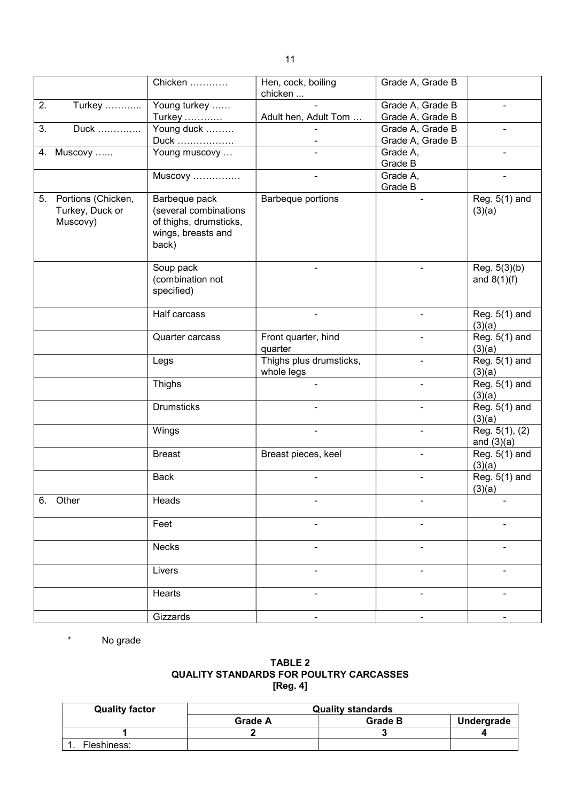|    |                                                      | Chicken                                                                                         | Hen, cock, boiling<br>chicken         | Grade A, Grade B |                                |
|----|------------------------------------------------------|-------------------------------------------------------------------------------------------------|---------------------------------------|------------------|--------------------------------|
| 2. | Turkey                                               | Young turkey                                                                                    |                                       | Grade A, Grade B |                                |
|    |                                                      | Turkey                                                                                          | Adult hen, Adult Tom                  | Grade A, Grade B |                                |
| 3. | Duck                                                 | Young duck                                                                                      |                                       | Grade A, Grade B |                                |
|    |                                                      | Duck                                                                                            |                                       | Grade A, Grade B |                                |
|    | 4. Muscovy                                           | Young muscovy                                                                                   |                                       | Grade A,         |                                |
|    |                                                      |                                                                                                 |                                       | Grade B          |                                |
|    |                                                      |                                                                                                 |                                       |                  |                                |
|    |                                                      | Muscovy                                                                                         |                                       | Grade A,         |                                |
|    |                                                      |                                                                                                 |                                       | Grade B          |                                |
|    | 5. Portions (Chicken,<br>Turkey, Duck or<br>Muscovy) | Barbeque pack<br>(several combinations<br>of thighs, drumsticks,<br>wings, breasts and<br>back) | Barbeque portions                     |                  | Reg. 5(1) and<br>(3)(a)        |
|    |                                                      | Soup pack<br>(combination not<br>specified)                                                     |                                       |                  | Reg. 5(3)(b)<br>and $8(1)(f)$  |
|    |                                                      | Half carcass                                                                                    |                                       | $\blacksquare$   | Reg. 5(1) and<br>(3)(a)        |
|    |                                                      | Quarter carcass                                                                                 | Front quarter, hind<br>quarter        | $\frac{1}{2}$    | Reg. 5(1) and<br>(3)(a)        |
|    |                                                      | Legs                                                                                            | Thighs plus drumsticks,<br>whole legs | $\blacksquare$   | Reg. 5(1) and<br>(3)(a)        |
|    |                                                      | Thighs                                                                                          |                                       | $\blacksquare$   | Reg. 5(1) and<br>(3)(a)        |
|    |                                                      | <b>Drumsticks</b>                                                                               |                                       |                  | Reg. 5(1) and<br>(3)(a)        |
|    |                                                      | Wings                                                                                           |                                       |                  | Reg. 5(1), (2)<br>and $(3)(a)$ |
|    |                                                      | <b>Breast</b>                                                                                   | Breast pieces, keel                   |                  | Reg. 5(1) and<br>(3)(a)        |
|    |                                                      | <b>Back</b>                                                                                     |                                       |                  | Reg. 5(1) and<br>(3)(a)        |
|    | 6. Other                                             | Heads                                                                                           |                                       |                  |                                |
|    |                                                      | Feet                                                                                            |                                       |                  |                                |
|    |                                                      | <b>Necks</b>                                                                                    |                                       |                  |                                |
|    |                                                      | Livers                                                                                          |                                       |                  |                                |
|    |                                                      | Hearts                                                                                          |                                       | $\blacksquare$   |                                |
|    |                                                      | Gizzards                                                                                        | ۰.                                    | ۰                | $\blacksquare$                 |
|    |                                                      |                                                                                                 |                                       |                  |                                |

\* No grade

## TABLE 2 QUALITY STANDARDS FOR POULTRY CARCASSES [Reg. 4]

| <b>Quality factor</b> | <b>Quality standards</b> |                |            |
|-----------------------|--------------------------|----------------|------------|
|                       | <b>Grade A</b>           | <b>Grade B</b> | Undergrade |
|                       |                          |                |            |
| Fleshiness:           |                          |                |            |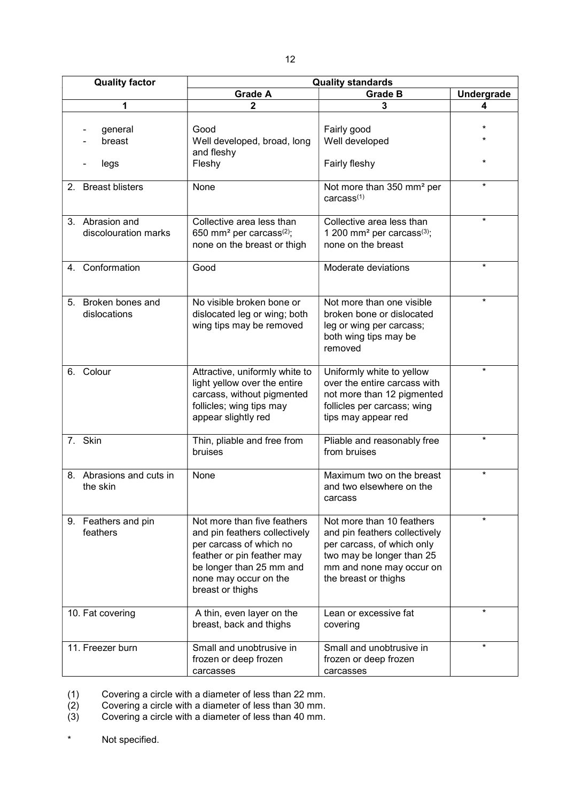| <b>Quality factor</b>                   | <b>Quality standards</b>                                                                                                                                                                       |                                                                                                                                                                           |                   |  |
|-----------------------------------------|------------------------------------------------------------------------------------------------------------------------------------------------------------------------------------------------|---------------------------------------------------------------------------------------------------------------------------------------------------------------------------|-------------------|--|
|                                         | <b>Grade A</b>                                                                                                                                                                                 | <b>Grade B</b>                                                                                                                                                            | <b>Undergrade</b> |  |
| 1                                       | $\overline{2}$                                                                                                                                                                                 | 3                                                                                                                                                                         | 4                 |  |
| general<br>breast<br>legs               | Good<br>Well developed, broad, long<br>and fleshy<br>Fleshy                                                                                                                                    | Fairly good<br>Well developed<br>Fairly fleshy                                                                                                                            | $\star$           |  |
| 2. Breast blisters                      | None                                                                                                                                                                                           | Not more than 350 mm <sup>2</sup> per<br>carcass <sup>(1)</sup>                                                                                                           | $\star$           |  |
| 3. Abrasion and<br>discolouration marks | Collective area less than<br>650 mm <sup>2</sup> per carcass <sup>(2)</sup> ;<br>none on the breast or thigh                                                                                   | Collective area less than<br>1 200 mm <sup>2</sup> per carcass <sup>(3)</sup> ;<br>none on the breast                                                                     | $\star$           |  |
| 4. Conformation                         | Good                                                                                                                                                                                           | Moderate deviations                                                                                                                                                       | $\star$           |  |
| 5. Broken bones and<br>dislocations     | No visible broken bone or<br>dislocated leg or wing; both<br>wing tips may be removed                                                                                                          | Not more than one visible<br>broken bone or dislocated<br>leg or wing per carcass;<br>both wing tips may be<br>removed                                                    | ¥                 |  |
| 6. Colour                               | Attractive, uniformly white to<br>light yellow over the entire<br>carcass, without pigmented<br>follicles; wing tips may<br>appear slightly red                                                | Uniformly white to yellow<br>over the entire carcass with<br>not more than 12 pigmented<br>follicles per carcass; wing<br>tips may appear red                             | $\star$           |  |
| 7. Skin                                 | Thin, pliable and free from<br>bruises                                                                                                                                                         | Pliable and reasonably free<br>from bruises                                                                                                                               | $\star$           |  |
| 8. Abrasions and cuts in<br>the skin    | None                                                                                                                                                                                           | Maximum two on the breast<br>and two elsewhere on the<br>carcass                                                                                                          | $\star$           |  |
| 9. Feathers and pin<br>feathers         | Not more than five feathers<br>and pin feathers collectively<br>per carcass of which no<br>feather or pin feather may<br>be longer than 25 mm and<br>none may occur on the<br>breast or thighs | Not more than 10 feathers<br>and pin feathers collectively<br>per carcass, of which only<br>two may be longer than 25<br>mm and none may occur on<br>the breast or thighs | $\star$           |  |
| 10. Fat covering                        | A thin, even layer on the<br>breast, back and thighs                                                                                                                                           | Lean or excessive fat<br>covering                                                                                                                                         | $\star$           |  |
| 11. Freezer burn                        | Small and unobtrusive in<br>frozen or deep frozen<br>carcasses                                                                                                                                 | Small and unobtrusive in<br>frozen or deep frozen<br>carcasses                                                                                                            | *                 |  |

(1) Covering a circle with a diameter of less than 22 mm.

(2) Covering a circle with a diameter of less than 30 mm.

(3) Covering a circle with a diameter of less than 40 mm.

\* Not specified.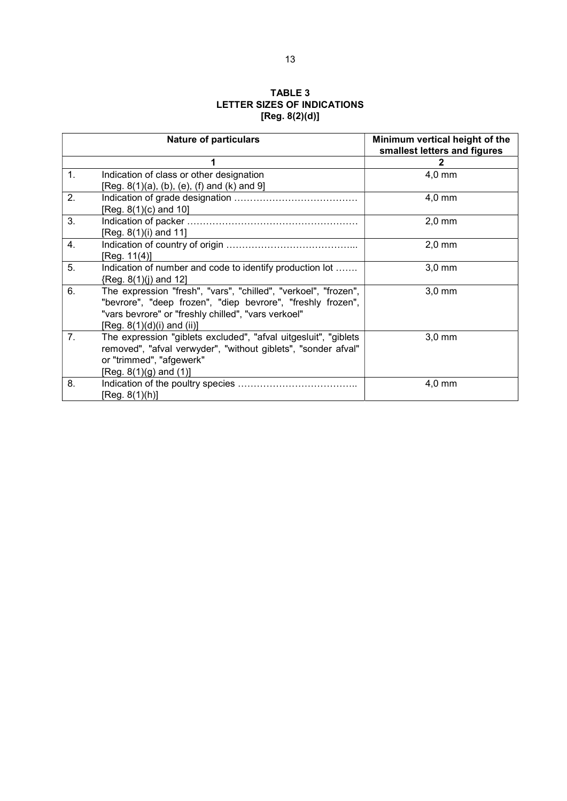## TABLE 3 LETTER SIZES OF INDICATIONS [Reg. 8(2)(d)]

|    | <b>Nature of particulars</b>                                                                                                                                                                                        | Minimum vertical height of the<br>smallest letters and figures |  |
|----|---------------------------------------------------------------------------------------------------------------------------------------------------------------------------------------------------------------------|----------------------------------------------------------------|--|
|    |                                                                                                                                                                                                                     | 2                                                              |  |
| 1. | Indication of class or other designation<br>[Reg. 8(1)(a), (b), (e), (f) and (k) and 9]                                                                                                                             | 4,0 mm                                                         |  |
| 2. | $[Reg. 8(1)(c)$ and 10]                                                                                                                                                                                             | $4,0$ mm                                                       |  |
| 3. | [Reg. 8(1)(i) and 11]                                                                                                                                                                                               | $2.0 \text{ mm}$                                               |  |
| 4. | [Reg. 11(4)]                                                                                                                                                                                                        | $2,0$ mm                                                       |  |
| 5. | Indication of number and code to identify production lot<br>{Reg. 8(1)(j) and 12]                                                                                                                                   | $3,0$ mm                                                       |  |
| 6. | The expression "fresh", "vars", "chilled", "verkoel", "frozen",<br>"bevrore", "deep frozen", "diep bevrore", "freshly frozen",<br>"vars bevrore" or "freshly chilled", "vars verkoel"<br>[Reg. 8(1)(d)(i) and (ii)] | $3,0$ mm                                                       |  |
| 7. | The expression "giblets excluded", "afval uitgesluit", "giblets<br>removed", "afval verwyder", "without giblets", "sonder afval"<br>or "trimmed", "afgewerk"<br>[Reg. $8(1)(g)$ and $(1)$ ]                         | $3,0$ mm                                                       |  |
| 8. | [Reg. 8(1)(h)]                                                                                                                                                                                                      | $4,0$ mm                                                       |  |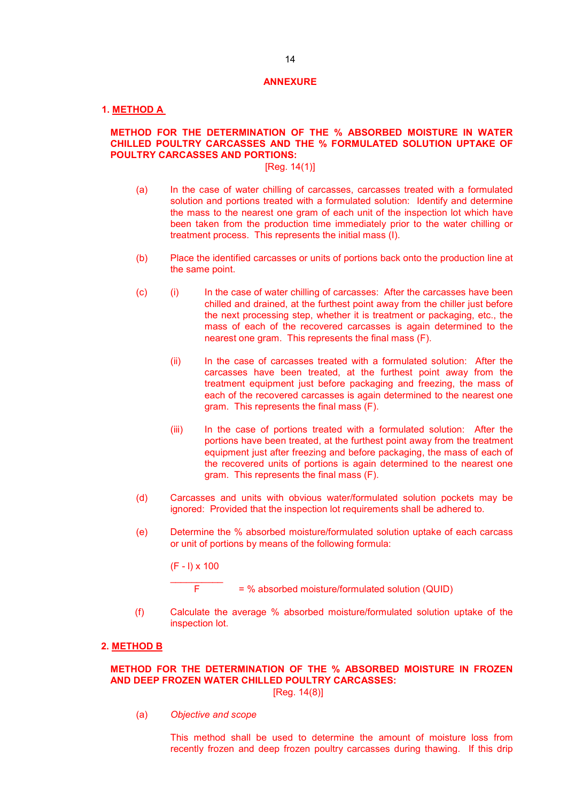#### ANNEXURE

#### 1. METHOD A

## METHOD FOR THE DETERMINATION OF THE % ABSORBED MOISTURE IN WATER CHILLED POULTRY CARCASSES AND THE % FORMULATED SOLUTION UPTAKE OF POULTRY CARCASSES AND PORTIONS:

## [Reg. 14(1)]

- (a) In the case of water chilling of carcasses, carcasses treated with a formulated solution and portions treated with a formulated solution: Identify and determine the mass to the nearest one gram of each unit of the inspection lot which have been taken from the production time immediately prior to the water chilling or treatment process. This represents the initial mass (I).
- (b) Place the identified carcasses or units of portions back onto the production line at the same point.
- (c) (i) In the case of water chilling of carcasses: After the carcasses have been chilled and drained, at the furthest point away from the chiller just before the next processing step, whether it is treatment or packaging, etc., the mass of each of the recovered carcasses is again determined to the nearest one gram. This represents the final mass (F).
	- (ii) In the case of carcasses treated with a formulated solution: After the carcasses have been treated, at the furthest point away from the treatment equipment just before packaging and freezing, the mass of each of the recovered carcasses is again determined to the nearest one gram. This represents the final mass (F).
	- (iii) In the case of portions treated with a formulated solution: After the portions have been treated, at the furthest point away from the treatment equipment just after freezing and before packaging, the mass of each of the recovered units of portions is again determined to the nearest one gram. This represents the final mass (F).
- (d) Carcasses and units with obvious water/formulated solution pockets may be ignored: Provided that the inspection lot requirements shall be adhered to.
- (e) Determine the % absorbed moisture/formulated solution uptake of each carcass or unit of portions by means of the following formula:

(F - l) x 100

 $F = %$  absorbed moisture/formulated solution (QUID)

(f) Calculate the average % absorbed moisture/formulated solution uptake of the inspection lot.

#### 2. METHOD B

## METHOD FOR THE DETERMINATION OF THE % ABSORBED MOISTURE IN FROZEN AND DEEP FROZEN WATER CHILLED POULTRY CARCASSES:

[Reg. 14(8)]

(a) Objective and scope

This method shall be used to determine the amount of moisture loss from recently frozen and deep frozen poultry carcasses during thawing. If this drip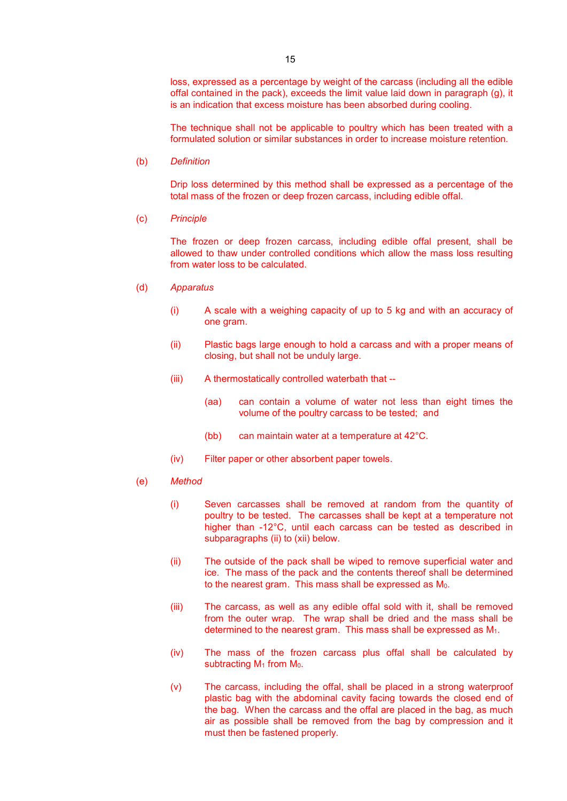loss, expressed as a percentage by weight of the carcass (including all the edible offal contained in the pack), exceeds the limit value laid down in paragraph (g), it is an indication that excess moisture has been absorbed during cooling.

The technique shall not be applicable to poultry which has been treated with a formulated solution or similar substances in order to increase moisture retention.

(b) Definition

Drip loss determined by this method shall be expressed as a percentage of the total mass of the frozen or deep frozen carcass, including edible offal.

(c) Principle

The frozen or deep frozen carcass, including edible offal present, shall be allowed to thaw under controlled conditions which allow the mass loss resulting from water loss to be calculated.

- (d) Apparatus
	- (i) A scale with a weighing capacity of up to 5 kg and with an accuracy of one gram.
	- (ii) Plastic bags large enough to hold a carcass and with a proper means of closing, but shall not be unduly large.
	- (iii) A thermostatically controlled waterbath that --
		- (aa) can contain a volume of water not less than eight times the volume of the poultry carcass to be tested; and
		- (bb) can maintain water at a temperature at 42°C.
	- (iv) Filter paper or other absorbent paper towels.
- (e) Method
	- (i) Seven carcasses shall be removed at random from the quantity of poultry to be tested. The carcasses shall be kept at a temperature not higher than -12°C, until each carcass can be tested as described in subparagraphs (ii) to (xii) below.
	- (ii) The outside of the pack shall be wiped to remove superficial water and ice. The mass of the pack and the contents thereof shall be determined to the nearest gram. This mass shall be expressed as  $M<sub>0</sub>$ .
	- (iii) The carcass, as well as any edible offal sold with it, shall be removed from the outer wrap. The wrap shall be dried and the mass shall be determined to the nearest gram. This mass shall be expressed as  $M_1$ .
	- (iv) The mass of the frozen carcass plus offal shall be calculated by subtracting  $M_1$  from  $M_0$ .
	- (v) The carcass, including the offal, shall be placed in a strong waterproof plastic bag with the abdominal cavity facing towards the closed end of the bag. When the carcass and the offal are placed in the bag, as much air as possible shall be removed from the bag by compression and it must then be fastened properly.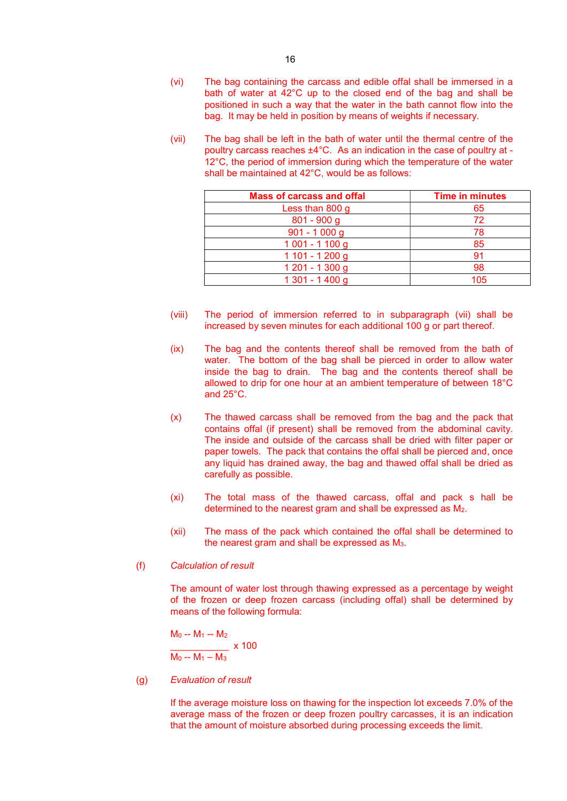- (vi) The bag containing the carcass and edible offal shall be immersed in a bath of water at 42°C up to the closed end of the bag and shall be positioned in such a way that the water in the bath cannot flow into the bag. It may be held in position by means of weights if necessary.
- (vii) The bag shall be left in the bath of water until the thermal centre of the poultry carcass reaches ±4°C. As an indication in the case of poultry at - 12°C, the period of immersion during which the temperature of the water shall be maintained at 42°C, would be as follows:

| <b>Mass of carcass and offal</b> | <b>Time in minutes</b> |
|----------------------------------|------------------------|
| Less than 800 g                  | 65                     |
| $801 - 900$ g                    | 72                     |
| $901 - 1000$ g                   | 78                     |
| $1001 - 1100$ g                  | 85                     |
| $1101 - 1200$ g                  | 91                     |
| 1 201 - 1 300 g                  | 98                     |
| 1 301 - 1 400 g                  | 105                    |

- (viii) The period of immersion referred to in subparagraph (vii) shall be increased by seven minutes for each additional 100 g or part thereof.
- (ix) The bag and the contents thereof shall be removed from the bath of water. The bottom of the bag shall be pierced in order to allow water inside the bag to drain. The bag and the contents thereof shall be allowed to drip for one hour at an ambient temperature of between 18°C and 25°C.
- (x) The thawed carcass shall be removed from the bag and the pack that contains offal (if present) shall be removed from the abdominal cavity. The inside and outside of the carcass shall be dried with filter paper or paper towels. The pack that contains the offal shall be pierced and, once any liquid has drained away, the bag and thawed offal shall be dried as carefully as possible.
- (xi) The total mass of the thawed carcass, offal and pack s hall be determined to the nearest gram and shall be expressed as M2.
- (xii) The mass of the pack which contained the offal shall be determined to the nearest gram and shall be expressed as  $M<sub>3</sub>$ .

#### (f) Calculation of result

The amount of water lost through thawing expressed as a percentage by weight of the frozen or deep frozen carcass (including offal) shall be determined by means of the following formula:

$$
\frac{M_0 - M_1 - M_2}{M_0 - M_1 - M_3} \times 100
$$

## (g) Evaluation of result

If the average moisture loss on thawing for the inspection lot exceeds 7.0% of the average mass of the frozen or deep frozen poultry carcasses, it is an indication that the amount of moisture absorbed during processing exceeds the limit.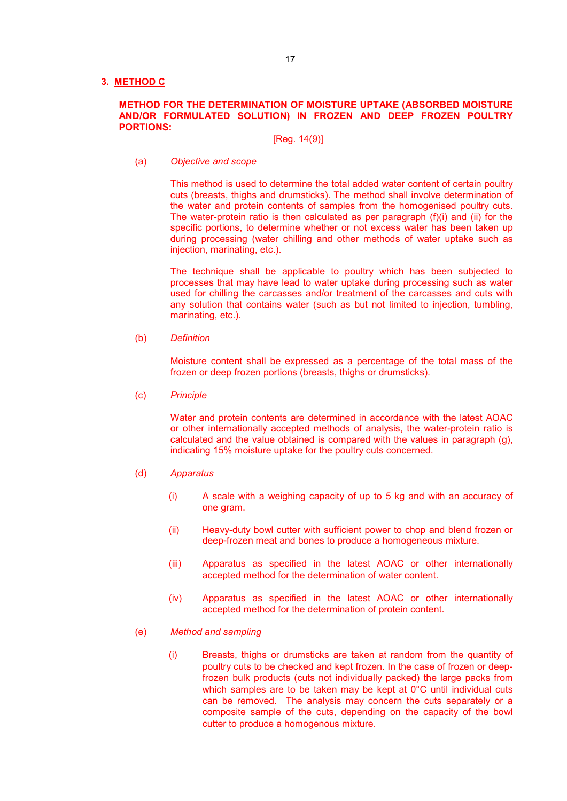## 3. METHOD C

## METHOD FOR THE DETERMINATION OF MOISTURE UPTAKE (ABSORBED MOISTURE AND/OR FORMULATED SOLUTION) IN FROZEN AND DEEP FROZEN POULTRY PORTIONS:

#### [Reg. 14(9)]

#### (a) Objective and scope

This method is used to determine the total added water content of certain poultry cuts (breasts, thighs and drumsticks). The method shall involve determination of the water and protein contents of samples from the homogenised poultry cuts. The water-protein ratio is then calculated as per paragraph (f)(i) and (ii) for the specific portions, to determine whether or not excess water has been taken up during processing (water chilling and other methods of water uptake such as injection, marinating, etc.).

The technique shall be applicable to poultry which has been subjected to processes that may have lead to water uptake during processing such as water used for chilling the carcasses and/or treatment of the carcasses and cuts with any solution that contains water (such as but not limited to injection, tumbling, marinating, etc.).

(b) Definition

Moisture content shall be expressed as a percentage of the total mass of the frozen or deep frozen portions (breasts, thighs or drumsticks).

(c) Principle

Water and protein contents are determined in accordance with the latest AOAC or other internationally accepted methods of analysis, the water-protein ratio is calculated and the value obtained is compared with the values in paragraph (g), indicating 15% moisture uptake for the poultry cuts concerned.

- (d) Apparatus
	- (i) A scale with a weighing capacity of up to 5 kg and with an accuracy of one gram.
	- (ii) Heavy-duty bowl cutter with sufficient power to chop and blend frozen or deep-frozen meat and bones to produce a homogeneous mixture.
	- (iii) Apparatus as specified in the latest AOAC or other internationally accepted method for the determination of water content.
	- (iv) Apparatus as specified in the latest AOAC or other internationally accepted method for the determination of protein content.

## (e) Method and sampling

(i) Breasts, thighs or drumsticks are taken at random from the quantity of poultry cuts to be checked and kept frozen. In the case of frozen or deepfrozen bulk products (cuts not individually packed) the large packs from which samples are to be taken may be kept at 0°C until individual cuts can be removed. The analysis may concern the cuts separately or a composite sample of the cuts, depending on the capacity of the bowl cutter to produce a homogenous mixture.